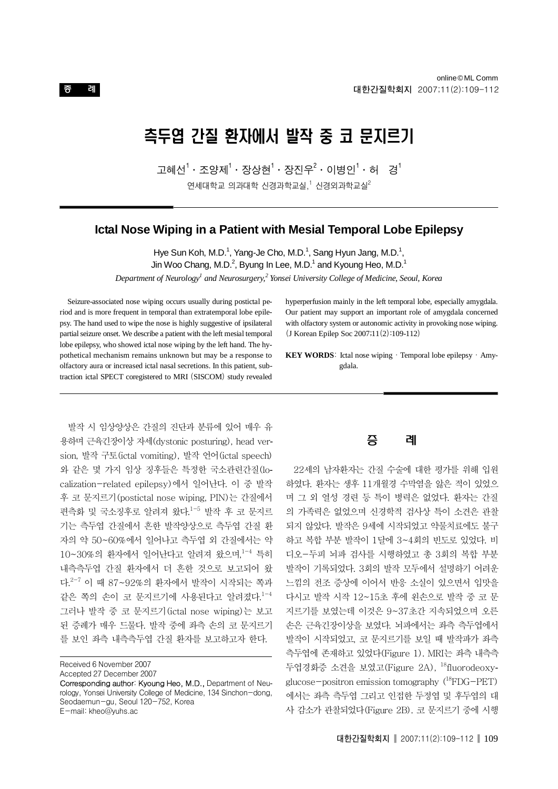

# 측두엽 간질 환자에서 발작 중 코 문지르기

고혜선 $^1\cdot$  조양제 $^1\cdot$  장상현 $^1\cdot$  장진우 $^2\cdot$  이병인 $^1\cdot$  허  $\,$  경 $^1$ 

연세대학교 의과대학 신경과학교실,<sup>1</sup> 신경외과학교실 $^2$ 

### **Ictal Nose Wiping in a Patient with Mesial Temporal Lobe Epilepsy**

Hye Sun Koh, M.D.<sup>1</sup>, Yang-Je Cho, M.D.<sup>1</sup>, Sang Hyun Jang, M.D.<sup>1</sup>, Jin Woo Chang, M.D.<sup>2</sup>, Byung In Lee, M.D.<sup>1</sup> and Kyoung Heo, M.D.<sup>1</sup>

Department of Neurology<sup>1</sup> and Neurosurgery,<sup>2</sup> Yonsei University College of Medicine, Seoul, Korea

Seizure-associated nose wiping occurs usually during postictal period and is more frequent in temporal than extratemporal lobe epilepsy. The hand used to wipe the nose is highly suggestive of ipsilateral partial seizure onset. We describe a patient with the left mesial temporal lobe epilepsy, who showed ictal nose wiping by the left hand. The hypothetical mechanism remains unknown but may be a response to olfactory aura or increased ictal nasal secretions. In this patient, subtraction ictal SPECT coregistered to MRI (SISCOM) study revealed hyperperfusion mainly in the left temporal lobe, especially amygdala. Our patient may support an important role of amygdala concerned with olfactory system or autonomic activity in provoking nose wiping. (J Korean Epilep Soc 2007;11(2):109-112)

**KEY WORDS:** Ictal nose wiping · Temporal lobe epilepsy · Amygdala.

발작 시 임상양상은 간질의 진단과 분류에 있어 매우 유 용하며 근육긴장이상 자세(dystonic posturing), head version, 발작 구토(ictal vomiting), 발작 언어(ictal speech) 와 같은 몇 가지 임상 징후들은 특정한 국소관련간질(localization-related epilepsy)에서 일어난다. 이 중 발작 후 코 문지르기(postictal nose wiping, PIN)는 간질에서 편측화 및 국소징후로 알려져 왔다.<sup>1-5</sup> 발작 후 코 문지르 기는 측두엽 간질에서 흔한 발작양상으로 측두엽 간질 환 자의 약 50~60%에서 일어나고 측두엽 외 간질에서는 약  $10 - 30\%$ 의 환자에서 일어난다고 알려져 왔으며, $1 - 4$  특히 내측측두엽 간질 환자에서 더 흔한 것으로 보고되어 왔 다.2-7 이 때 87~92%의 환자에서 발작이 시작되는 쪽과 같은 쪽의 손이 코 문지르기에 사용된다고 알려졌다.1-4 그러나 발작 중 코 문지르기(ictal nose wiping)는 보고 된 증례가 매우 드물다. 발작 중에 좌측 손의 코 문지르기 를 보인 좌측 내측측두엽 간질 환자를 보고하고자 한다.

Received 6 November 2007 Accepted 27 December 2007

Corresponding author: Kyoung Heo, M.D., Department of Neurology, Yonsei University College of Medicine, 134 Sinchon-dong, Seodaemun-gu, Seoul 120-752, Korea E-mail: kheo@yuhs.ac

## 증 례

22세의 남자환자는 간질 수술에 대한 평가를 위해 입원 하였다. 환자는 생후 11개월경 수막염을 앓은 적이 있었으 며 그 외 열성 경련 등 특이 병력은 없었다. 환자는 간질 의 가족력은 없었으며 신경학적 검사상 특이 소견은 관찰 되지 않았다. 발작은 9세에 시작되었고 약물치료에도 불구 하고 복합 부분 발작이 1달에 3~4회의 빈도로 있었다. 비 디오-두피 뇌파 검사를 시행하였고 총 3회의 복합 부분 발작이 기록되었다. 3회의 발작 모두에서 설명하기 어려운 느낌의 전조 증상에 이어서 반응 소실이 있으면서 입맛을 다시고 발작 시작 12~15초 후에 왼손으로 발작 중 코 문 지르기를 보였는데 이것은 9~37초간 지속되었으며 오른 손은 근육긴장이상을 보였다. 뇌파에서는 좌측 측두엽에서 발작이 시작되었고, 코 문지르기를 보일 때 발작파가 좌측 측두엽에 존재하고 있었다(Figure 1). MRI는 좌측 내측측 두엽경화증 소견을 보였고(Figure 2A), 18fluorodeoxyglucose-positron emission tomography  $(^{18}$ FDG-PET) 에서는 좌측 측두엽 그리고 인접한 두정엽 및 후두엽의 대 사 감소가 관찰되었다(Figure 2B). 코 문지르기 중에 시행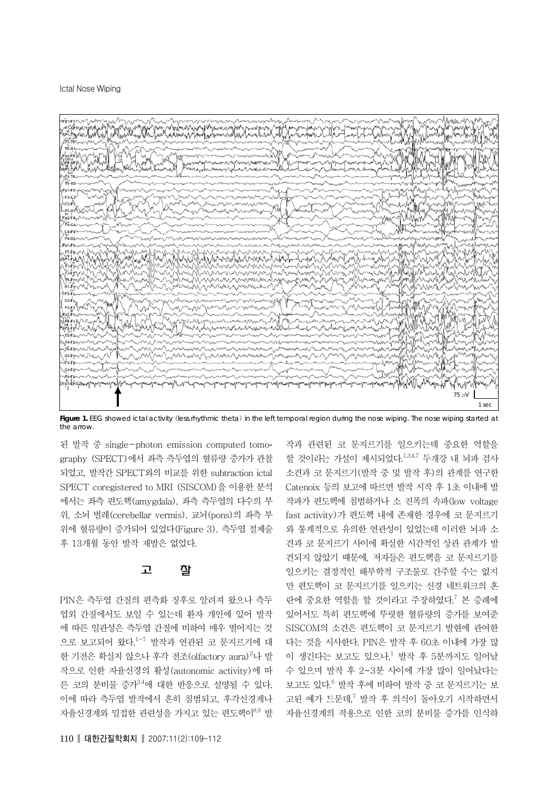

**Figure 1.** EEG showed ictal activity (less rhythmic theta) in the left temporal region during the nose wiping. The nose wiping started at the arrow.

된 발작 중 single-photon emission computed tomography (SPECT)에서 좌측 측두엽의 혈류량 증가가 관찰 되었고, 발작간 SPECT와의 비교를 위한 subtraction ictal SPECT coregistered to MRI (SISCOM)을 이용한 분석 에서는 좌측 편도핵(amygdala), 좌측 측두엽의 다수의 부 위, 소뇌 벌레(cerebellar vermis), 교뇌(pons)의 좌측 부 위에 혈류량이 증가되어 있었다(Figure 3). 측두엽 절제술 후 13개월 동안 발작 재발은 없었다.

## 고 찰

PIN은 측두엽 간질의 편측화 징후로 알려져 왔으나 측두 엽외 간질에서도 보일 수 있는데 환자 개인에 있어 발작 에 따른 일관성은 측두엽 간질에 비하여 매우 떨어지는 것 으로 보고되어 왔다.1-7 발작과 연관된 코 문지르기에 대 한 기전은 확실치 않으나 후각 전조(olfactory aura)<sup>2</sup>나 발 작으로 인한 자율신경의 활성(autonomic activity)에 따 른 코의 분비물 증가3,4에 대한 반응으로 설명될 수 있다. 이에 따라 측두엽 발작에서 흔히 침범되고, 후각신경계나 자율신경계와 밀접한 관련성을 가지고 있는 편도핵이8,9 발

작과 관련된 코 문지르기를 일으키는데 중요한 역할을 할 것이라는 가설이 제시되었다.<sup>1,3,4,7</sup> 두개강 내 뇌파 검사 소견과 코 문지르기(발작 중 및 발작 후)의 관계를 연구한 Catenoix 등의 보고에 따르면 발작 시작 후 1초 이내에 발 작파가 편도핵에 침범하거나 소 진폭의 속파(low voltage fast activity)가 편도핵 내에 존재한 경우에 코 문지르기 와 통계적으로 유의한 연관성이 있었는데 이러한 뇌파 소 견과 코 문지르기 사이에 확실한 시간적인 상관 관계가 발 견되지 않았기 때문에, 저자들은 편도핵을 코 문지르기를 일으키는 결정적인 해부학적 구조물로 간주할 수는 없지 만 편도핵이 코 문지르기를 일으키는 신경 네트워크의 혼 란에 중요한 역할을 할 것이라고 주장하였다.<sup>7</sup> 본 증례에 있어서도 특히 편도핵에 뚜렷한 혈류량의 증가를 보여준 SISCOM의 소견은 편도핵이 코 문지르기 발현에 관여한 다는 것을 시사한다. PIN은 발작 후 60초 이내에 가장 많 이 생긴다는 보고도 있으나,<sup>1</sup> 발작 후 5분까지도 일어날 수 있으며 발작 후 2~3분 사이에 가장 많이 일어났다는 보고도 있다.<sup>6</sup> 발작 후에 비하여 발작 중 코 문지르기는 보 고된 예가 드문데,<sup>7</sup> 발작 후 의식이 돌아오기 시작하면서 자율신경계의 작용으로 인한 코의 분비물 증가를 인식하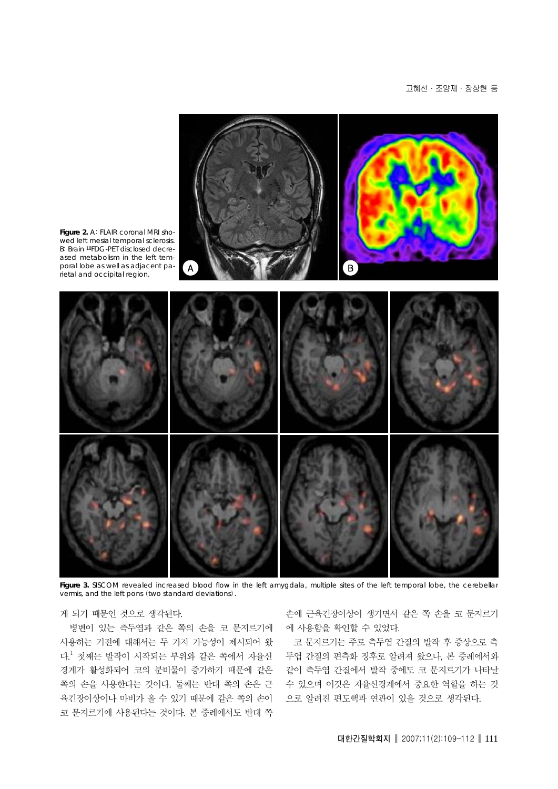

Figure 3. SISCOM revealed increased blood flow in the left amygdala, multiple sites of the left temporal lobe, the cerebellar vermis, and the left pons (two standard deviations).

#### 게 되기 때문인 것으로 생각된다.

병변이 있는 측두엽과 같은 쪽의 손을 코 문지르기에 사용하는 기전에 대해서는 두 가지 가능성이 제시되어 왔 다.<sup>1</sup> 첫째는 발작이 시작되는 부위와 같은 쪽에서 자율신 경계가 활성화되어 코의 분비물이 증가하기 때문에 같은 쪽의 손을 사용한다는 것이다. 둘째는 반대 쪽의 손은 근 육긴장이상이나 마비가 올 수 있기 때문에 같은 쪽의 손이 코 문지르기에 사용된다는 것이다. 본 증례에서도 반대 쪽

손에 근육긴장이상이 생기면서 같은 쪽 손을 코 문지르기 에 사용함을 확인할 수 있었다.

코 문지르기는 주로 측두엽 간질의 발작 후 증상으로 측 두엽 간질의 편측화 징후로 알려져 왔으나, 본 증례에서와 같이 측두엽 간질에서 발작 중에도 코 문지르기가 나타날 수 있으며 이것은 자율신경계에서 중요한 역할을 하는 것 으로 알려진 편도핵과 연관이 있을 것으로 생각된다.